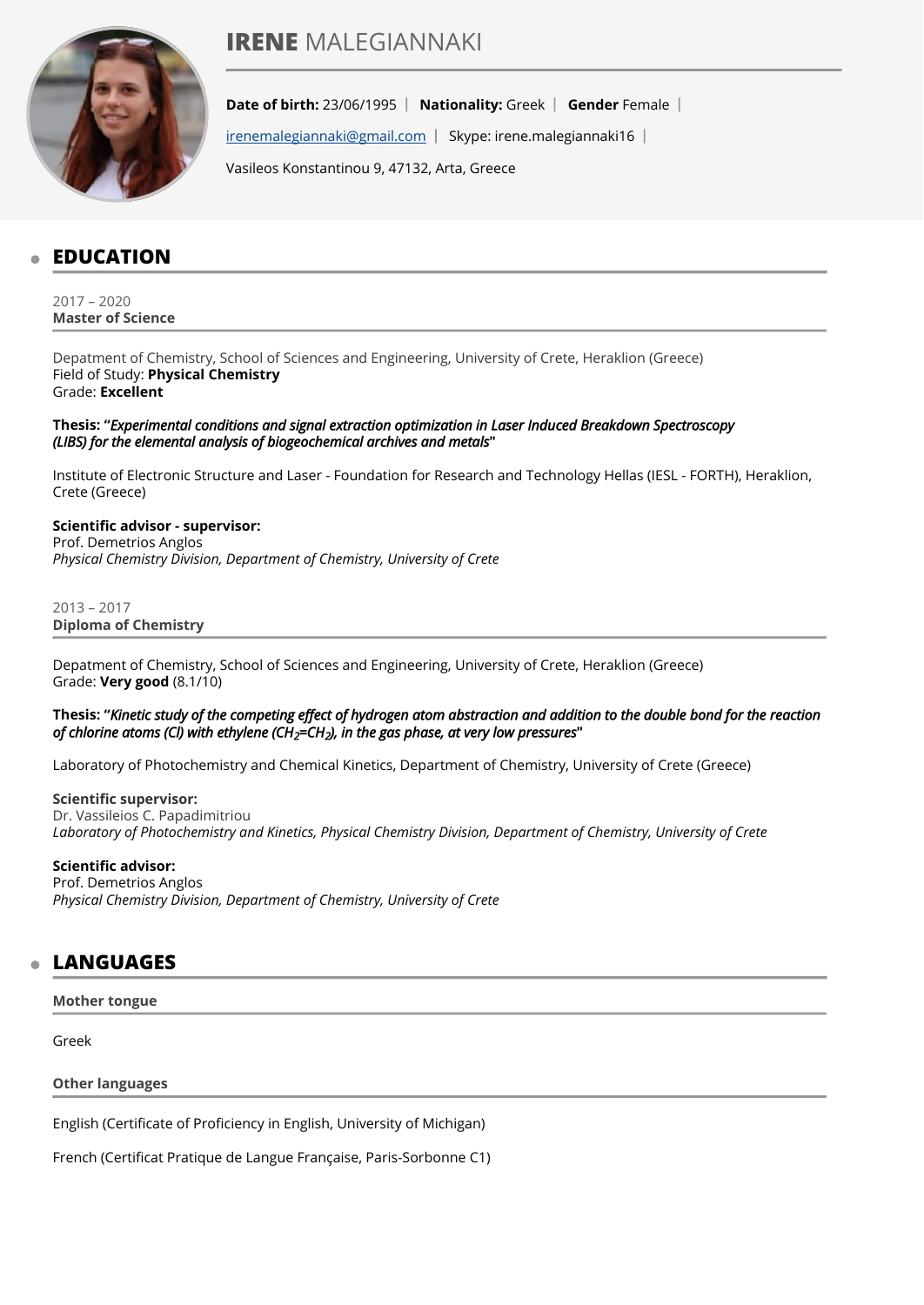# **IRENE** MALEGIANNAKI



**Date of birth:** 23/06/1995 | Nationality: Greek | Gender Female |

[irenemalegiannaki@gmail.com](mailto:irenemalegiannaki@gmail.com) | Skype: irene.malegiannaki16 |

Vasileos Konstantinou 9, 47132, Arta, Greece

# **EDUCATION**

2017 – 2020 **Master of Science** 

Depatment of Chemistry, School of Sciences and Engineering, University of Crete, Heraklion (Greece) Field of Study: **Physical Chemistry** Grade: **Excellent**

**Thesis: "**Experimental conditions and signal extraction optimization in Laser Induced Breakdown Spectroscopy (LIBS) for the elemental analysis of biogeochemical archives and metals**"**

Institute of Electronic Structure and Laser - Foundation for Research and Technology Hellas (IESL - FORTH), Heraklion, Crete (Greece)

**Scientific advisor - supervisor:**  Prof. Demetrios Anglos *Physical Chemistry Division, Department of Chemistry, University of Crete*

2013 – 2017 **Diploma of Chemistry** 

Depatment of Chemistry, School of Sciences and Engineering, University of Crete, Heraklion (Greece) Grade: **Very good** (8.1/10)

**Thesis: "**Kinetic study of the competing effect of hydrogen atom abstraction and addition to the double bond for the reaction of chlorine atoms (Cl) with ethylene (CH<sub>2</sub>=CH<sub>2</sub>), in the gas phase, at very low pressures''

Laboratory of Photochemistry and Chemical Kinetics, Department of Chemistry, University of Crete (Greece)

#### **Scientific supervisor:**

Dr. Vassileios C. Papadimitriou *Laboratory of Photochemistry and Kinetics, Physical Chemistry Division, Department of Chemistry, University of Crete*

#### **Scientific advisor:**

Prof. Demetrios Anglos *Physical Chemistry Division, Department of Chemistry, University of Crete*

### **LANGUAGES**

**Mother tongue** 

Greek

**Other languages** 

English (Certificate of Proficiency in English, University of Michigan)

French (Certificat Pratique de Langue Française, Paris-Sorbonne C1)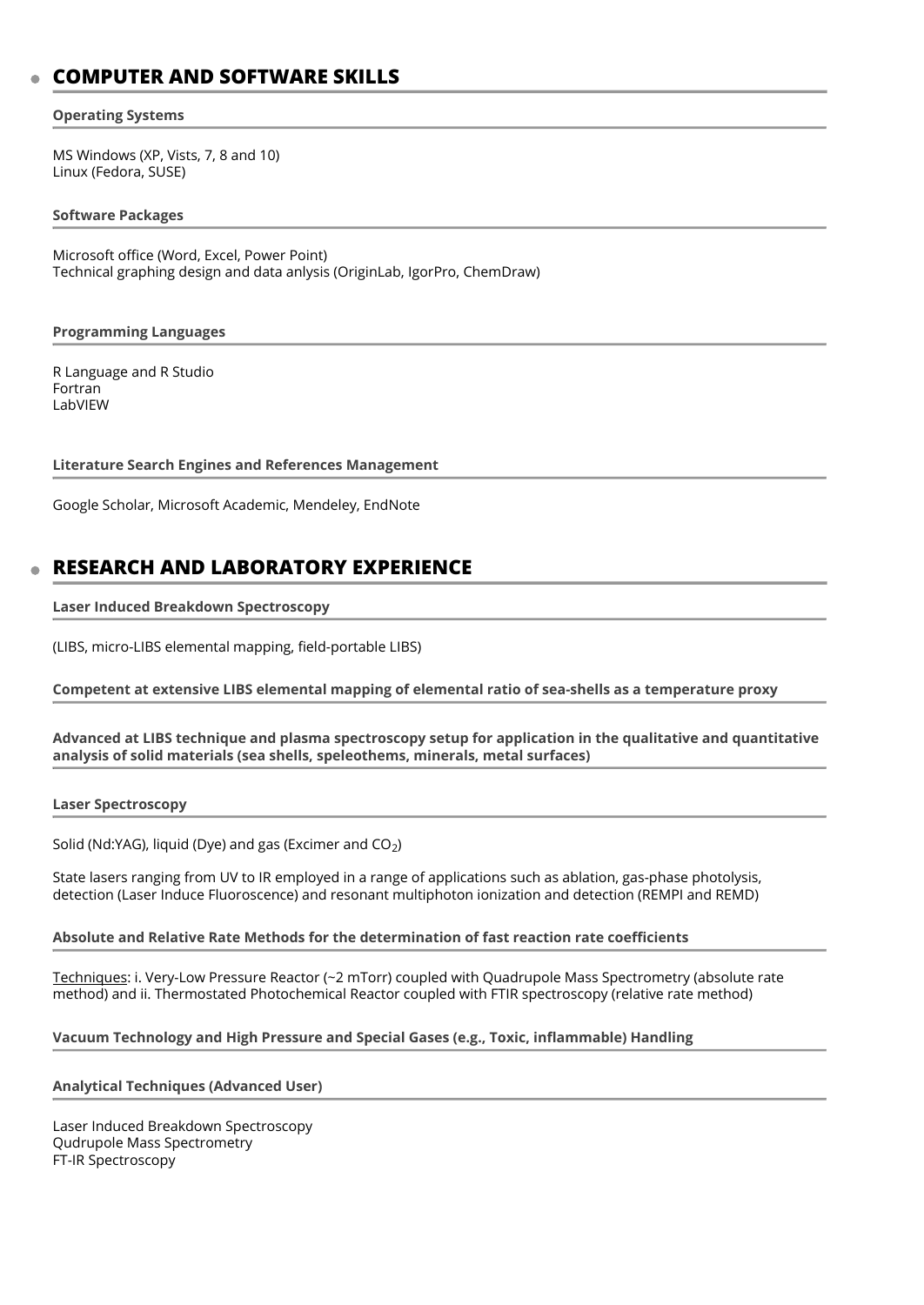# **COMPUTER AND SOFTWARE SKILLS**

#### **Operating Systems**

MS Windows (XP, Vists, 7, 8 and 10) Linux (Fedora, SUSE)

#### **Software Packages**

Microsoft office (Word, Excel, Power Point) Technical graphing design and data anlysis (OriginLab, IgorPro, ChemDraw)

#### **Programming Languages**

R Language and R Studio Fortran LabVIEW

#### **Literature Search Engines and References Management**

Google Scholar, Microsoft Academic, Mendeley, EndNote

# **RESEARCH AND LABORATORY EXPERIENCE**

#### **Laser Induced Breakdown Spectroscopy**

(LIBS, micro-LIBS elemental mapping, field-portable LIBS)

#### **Competent at extensive LIBS elemental mapping of elemental ratio of sea-shells as a temperature proxy**

#### **Advanced at LIBS technique and plasma spectroscopy setup for application in the qualitative and quantitative analysis of solid materials (sea shells, speleothems, minerals, metal surfaces)**

#### **Laser Spectroscopy**

Solid (Nd:YAG), liquid (Dye) and gas (Excimer and CO $_2$ )

State lasers ranging from UV to IR employed in a range of applications such as ablation, gas-phase photolysis, detection (Laser Induce Fluoroscence) and resonant multiphoton ionization and detection (REMPI and REMD)

#### **Absolute and Relative Rate Methods for the determination of fast reaction rate coefficients**

Techniques: i. Very-Low Pressure Reactor (~2 mTorr) coupled with Quadrupole Mass Spectrometry (absolute rate method) and ii. Thermostated Photochemical Reactor coupled with FTIR spectroscopy (relative rate method)

#### **Vacuum Technology and High Pressure and Special Gases (e.g., Toxic, inflammable) Handling**

#### **Analytical Techniques (Advanced User)**

Laser Induced Breakdown Spectroscopy Qudrupole Mass Spectrometry FT-IR Spectroscopy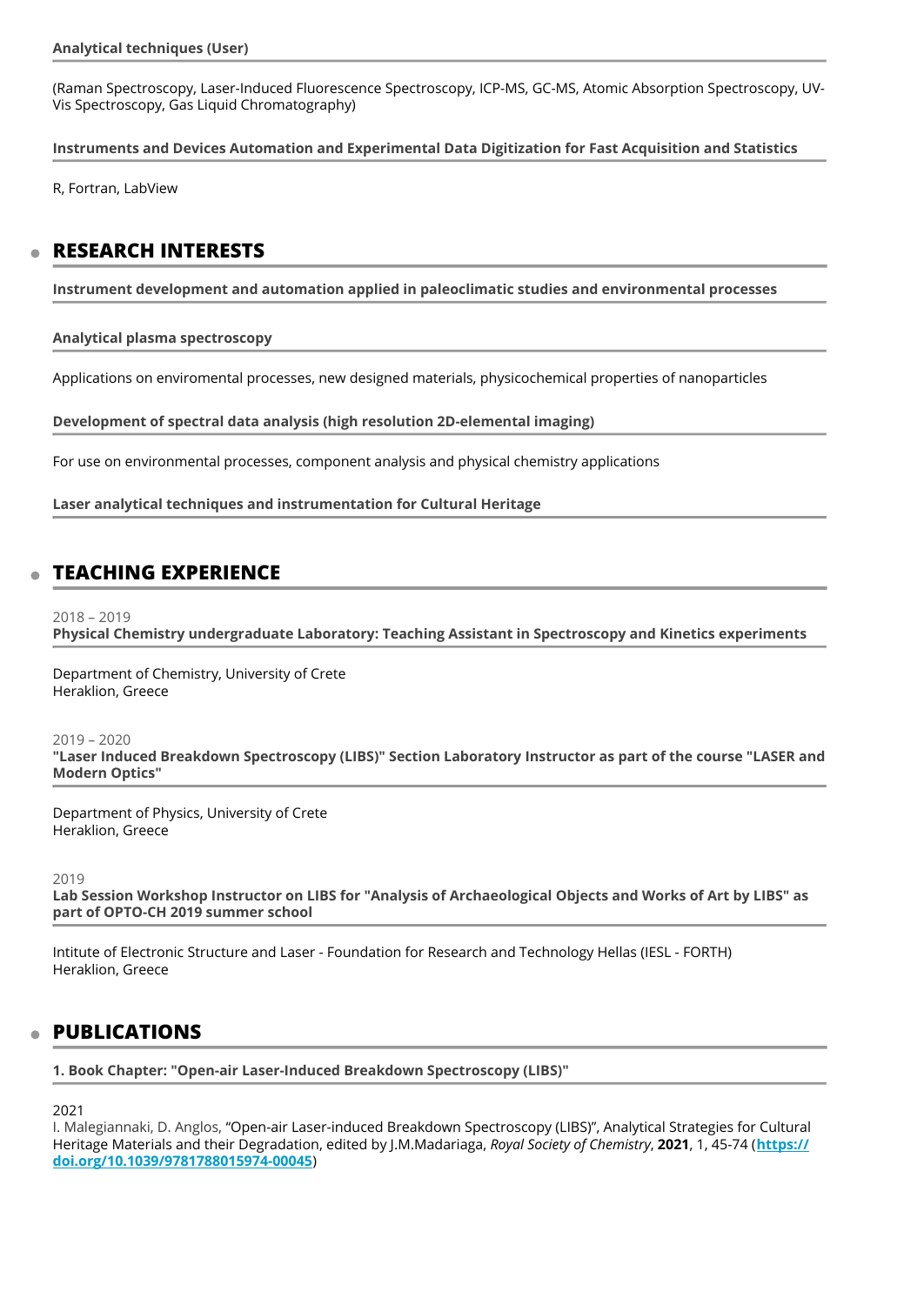(Raman Spectroscopy, Laser-Induced Fluorescence Spectroscopy, ICP-MS, GC-MS, Atomic Absorption Spectroscopy, UV-Vis Spectroscopy, Gas Liquid Chromatography)

**Instruments and Devices Automation and Experimental Data Digitization for Fast Acquisition and Statistics** 

R, Fortran, LabView

### **RESEARCH INTERESTS**

**Instrument development and automation applied in paleoclimatic studies and environmental processes** 

**Analytical plasma spectroscopy** 

Applications on enviromental processes, new designed materials, physicochemical properties of nanoparticles

**Development of spectral data analysis (high resolution 2D-elemental imaging)** 

For use on environmental processes, component analysis and physical chemistry applications

**Laser analytical techniques and instrumentation for Cultural Heritage** 

# **TEACHING EXPERIENCE**

2018 – 2019

**Physical Chemistry undergraduate Laboratory: Teaching Assistant in Spectroscopy and Kinetics experiments** 

Department of Chemistry, University of Crete Heraklion, Greece

2019 – 2020 **"Laser Induced Breakdown Spectroscopy (LIBS)" Section Laboratory Instructor as part of the course "LASER and Modern Optics"** 

Department of Physics, University of Crete Heraklion, Greece

2019

**Lab Session Workshop Instructor on LIBS for "Analysis of Archaeological Objects and Works of Art by LIBS" as part of OPTO-CH 2019 summer school** 

Intitute of Electronic Structure and Laser - Foundation for Research and Technology Hellas (IESL - FORTH) Heraklion, Greece

### **PUBLICATIONS**

**1. Book Chapter: "Open-air Laser-Induced Breakdown Spectroscopy (LIBS)"** 

2021

I. Malegiannaki, D. Anglos, "Open-air Laser-induced Breakdown Spectroscopy (LIBS)", Analytical Strategies for Cultural Heritage Materials and their Degradation, edited by J.M.Madariaga, *Royal Society of Chemistry*, **2021**, 1, 45-74 (**[https://](https://doi.org/10.1039/9781788015974-00045) [doi.org/10.1039/9781788015974-00045](https://doi.org/10.1039/9781788015974-00045)**)